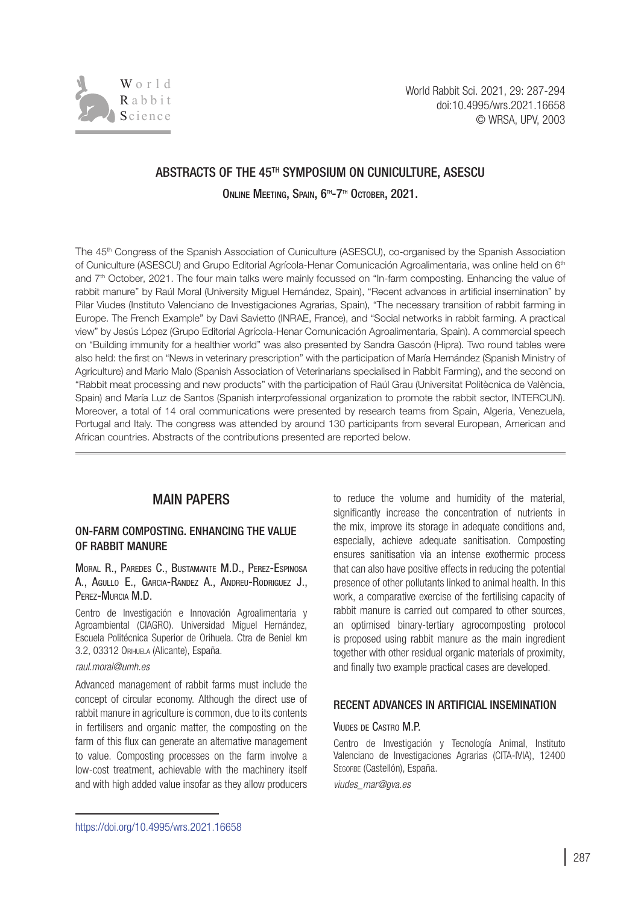

# ABSTRACTS OF THE 45TH SYMPOSIUM ON CUNICULTURE, ASESCU

ONLINE MEETING, SPAIN, 6<sup>th</sup>-7<sup>th</sup> October, 2021.

The 45<sup>th</sup> Congress of the Spanish Association of Cuniculture (ASESCU), co-organised by the Spanish Association of Cuniculture (ASESCU) and Grupo Editorial Agrícola-Henar Comunicación Agroalimentaria, was online held on 6<sup>th</sup> and 7th October, 2021. The four main talks were mainly focussed on "In-farm composting. Enhancing the value of rabbit manure" by Raúl Moral (University Miguel Hernández, Spain), "Recent advances in artificial insemination" by Pilar Viudes (Instituto Valenciano de Investigaciones Agrarias, Spain), "The necessary transition of rabbit farming in Europe. The French Example" by Davi Savietto (INRAE, France), and "Social networks in rabbit farming. A practical view" by Jesús López (Grupo Editorial Agrícola-Henar Comunicación Agroalimentaria, Spain). A commercial speech on "Building immunity for a healthier world" was also presented by Sandra Gascón (Hipra). Two round tables were also held: the first on "News in veterinary prescription" with the participation of María Hernández (Spanish Ministry of Agriculture) and Mario Malo (Spanish Association of Veterinarians specialised in Rabbit Farming), and the second on "Rabbit meat processing and new products" with the participation of Raúl Grau (Universitat Politècnica de València, Spain) and María Luz de Santos (Spanish interprofessional organization to promote the rabbit sector, INTERCUN). Moreover, a total of 14 oral communications were presented by research teams from Spain, Algeria, Venezuela, Portugal and Italy. The congress was attended by around 130 participants from several European, American and African countries. Abstracts of the contributions presented are reported below.

# MAIN PAPERS

## ON-FARM COMPOSTING. ENHANCING THE VALUE OF RABBIT MANURE

### Moral R., Paredes C., Bustamante M.D., Perez-Espinosa A., Agullo E., Garcia-Randez A., Andreu-Rodriguez J., Perez-Murcia M.D.

Centro de Investigación e Innovación Agroalimentaria y Agroambiental (CIAGRO). Universidad Miguel Hernández, Escuela Politécnica Superior de Orihuela. Ctra de Beniel km 3.2, 03312 Orihuela (Alicante), España.

#### *[raul.moral@umh.es](mailto:raul.moral@umh.es)*

Advanced management of rabbit farms must include the concept of circular economy. Although the direct use of rabbit manure in agriculture is common, due to its contents in fertilisers and organic matter, the composting on the farm of this flux can generate an alternative management to value. Composting processes on the farm involve a low-cost treatment, achievable with the machinery itself and with high added value insofar as they allow producers to reduce the volume and humidity of the material, significantly increase the concentration of nutrients in the mix, improve its storage in adequate conditions and, especially, achieve adequate sanitisation. Composting ensures sanitisation via an intense exothermic process that can also have positive effects in reducing the potential presence of other pollutants linked to animal health. In this work, a comparative exercise of the fertilising capacity of rabbit manure is carried out compared to other sources, an optimised binary-tertiary agrocomposting protocol is proposed using rabbit manure as the main ingredient together with other residual organic materials of proximity, and finally two example practical cases are developed.

## RECENT ADVANCES IN ARTIFICIAL INSEMINATION

#### Viudes de Castro M.P.

Centro de Investigación y Tecnología Animal, Instituto Valenciano de Investigaciones Agrarias (CITA-IVIA), 12400 SEGORBE (Castellón), España.

*[viudes\\_mar@gva.es](mailto:viudes_mar@gva.es)*

https://doi.org/10.4995/wrs.2021.16658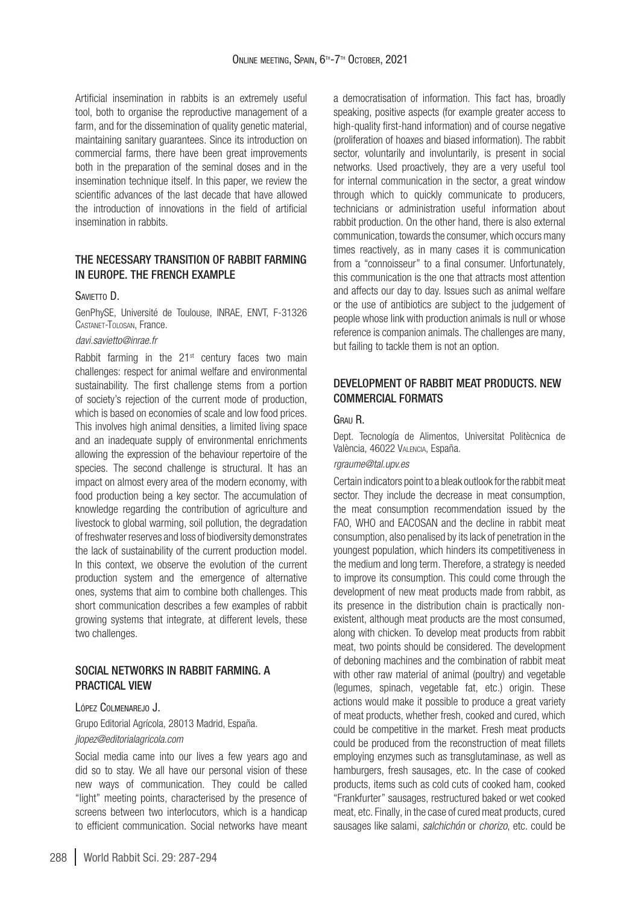Artificial insemination in rabbits is an extremely useful tool, both to organise the reproductive management of a farm, and for the dissemination of quality genetic material. maintaining sanitary guarantees. Since its introduction on commercial farms, there have been great improvements both in the preparation of the seminal doses and in the insemination technique itself. In this paper, we review the scientific advances of the last decade that have allowed the introduction of innovations in the field of artificial insemination in rabbits.

## THE NECESSARY TRANSITION OF RABBIT FARMING IN EUROPE. THE FRENCH EXAMPLE

#### SAVIETTO D.

GenPhySE, Université de Toulouse, INRAE, ENVT, F-31326 Castanet-Tolosan, France.

#### *[davi.savietto@inrae.fr](mailto:davi.savietto@inrae.fr)*

Rabbit farming in the 21<sup>st</sup> century faces two main challenges: respect for animal welfare and environmental sustainability. The first challenge stems from a portion of society's rejection of the current mode of production, which is based on economies of scale and low food prices. This involves high animal densities, a limited living space and an inadequate supply of environmental enrichments allowing the expression of the behaviour repertoire of the species. The second challenge is structural. It has an impact on almost every area of the modern economy, with food production being a key sector. The accumulation of knowledge regarding the contribution of agriculture and livestock to global warming, soil pollution, the degradation of freshwater reserves and loss of biodiversity demonstrates the lack of sustainability of the current production model. In this context, we observe the evolution of the current production system and the emergence of alternative ones, systems that aim to combine both challenges. This short communication describes a few examples of rabbit growing systems that integrate, at different levels, these two challenges.

### SOCIAL NETWORKS IN RABBIT FARMING. A PRACTICAL VIEW

### López Colmenarejo J.

Grupo Editorial Agrícola, 28013 Madrid, España.

### *[jlopez@editorialagricola.com](mailto:jlopez@editorialagricola.com)*

Social media came into our lives a few years ago and did so to stay. We all have our personal vision of these new ways of communication. They could be called "light" meeting points, characterised by the presence of screens between two interlocutors, which is a handicap to efficient communication. Social networks have meant a democratisation of information. This fact has, broadly speaking, positive aspects (for example greater access to high-quality first-hand information) and of course negative (proliferation of hoaxes and biased information). The rabbit sector, voluntarily and involuntarily, is present in social networks. Used proactively, they are a very useful tool for internal communication in the sector, a great window through which to quickly communicate to producers, technicians or administration useful information about rabbit production. On the other hand, there is also external communication, towards the consumer, which occurs many times reactively, as in many cases it is communication from a "connoisseur" to a final consumer. Unfortunately, this communication is the one that attracts most attention and affects our day to day. Issues such as animal welfare or the use of antibiotics are subject to the judgement of people whose link with production animals is null or whose reference is companion animals. The challenges are many, but failing to tackle them is not an option.

## DEVELOPMENT OF RABBIT MEAT PRODUCTS. NEW COMMERCIAL FORMATS

#### Grau R.

Dept. Tecnología de Alimentos, Universitat Politècnica de València, 46022 Valencia, España.

### *[rgraume@tal.upv.es](mailto:rgraume@tal.upv.es)*

Certain indicators point to a bleak outlook for the rabbit meat sector. They include the decrease in meat consumption, the meat consumption recommendation issued by the FAO, WHO and EACOSAN and the decline in rabbit meat consumption, also penalised by its lack of penetration in the youngest population, which hinders its competitiveness in the medium and long term. Therefore, a strategy is needed to improve its consumption. This could come through the development of new meat products made from rabbit, as its presence in the distribution chain is practically nonexistent, although meat products are the most consumed, along with chicken. To develop meat products from rabbit meat, two points should be considered. The development of deboning machines and the combination of rabbit meat with other raw material of animal (poultry) and vegetable (legumes, spinach, vegetable fat, etc.) origin. These actions would make it possible to produce a great variety of meat products, whether fresh, cooked and cured, which could be competitive in the market. Fresh meat products could be produced from the reconstruction of meat fillets employing enzymes such as transglutaminase, as well as hamburgers, fresh sausages, etc. In the case of cooked products, items such as cold cuts of cooked ham, cooked "Frankfurter" sausages, restructured baked or wet cooked meat, etc. Finally, in the case of cured meat products, cured sausages like salami, *salchichón* or *chorizo*, etc. could be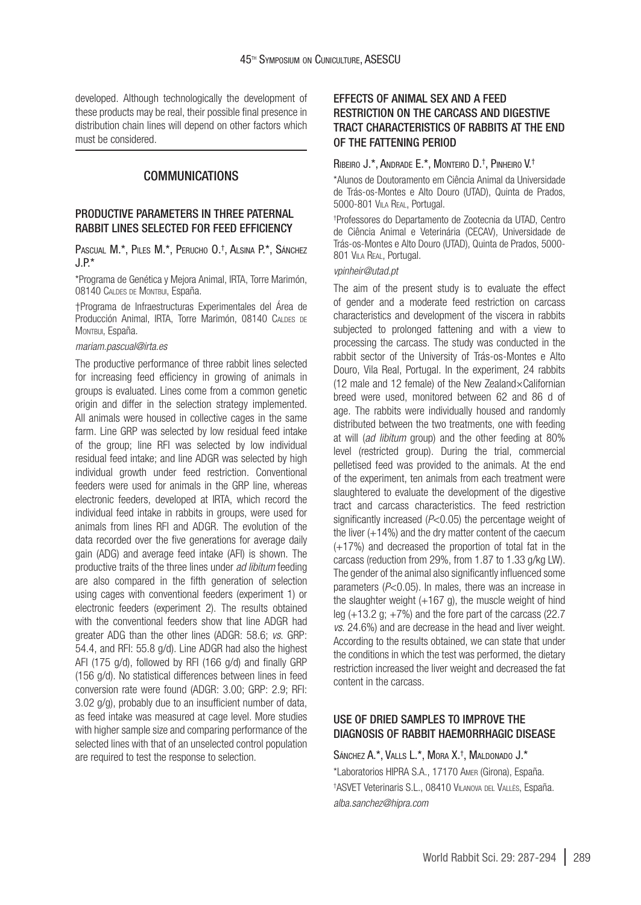developed. Although technologically the development of these products may be real, their possible final presence in distribution chain lines will depend on other factors which must be considered.

### COMMUNICATIONS

## PRODUCTIVE PARAMETERS IN THREE PATERNAL RABBIT LINES SELECTED FOR FEED EFFICIENCY

Pascual M.\*, Piles M.\*, Perucho O. † , Alsina P.\*, Sánchez  $J.P$ 

\*Programa de Genética y Mejora Animal, IRTA, Torre Marimón, 08140 Caldes de Montbui, España.

†Programa de Infraestructuras Experimentales del Área de Producción Animal, IRTA, Torre Marimón, 08140 CALDES DE Montbui, España.

#### *[mariam.pascual@irta.es](mailto:mariam.pascual@irta.es
)*

The productive performance of three rabbit lines selected for increasing feed efficiency in growing of animals in groups is evaluated. Lines come from a common genetic origin and differ in the selection strategy implemented. All animals were housed in collective cages in the same farm. Line GRP was selected by low residual feed intake of the group; line RFI was selected by low individual residual feed intake; and line ADGR was selected by high individual growth under feed restriction. Conventional feeders were used for animals in the GRP line, whereas electronic feeders, developed at IRTA, which record the individual feed intake in rabbits in groups, were used for animals from lines RFI and ADGR. The evolution of the data recorded over the five generations for average daily gain (ADG) and average feed intake (AFI) is shown. The productive traits of the three lines under *ad libitum* feeding are also compared in the fifth generation of selection using cages with conventional feeders (experiment 1) or electronic feeders (experiment 2). The results obtained with the conventional feeders show that line ADGR had greater ADG than the other lines (ADGR: 58.6; *vs*. GRP: 54.4, and RFI: 55.8 g/d). Line ADGR had also the highest AFI (175 g/d), followed by RFI (166 g/d) and finally GRP (156 g/d). No statistical differences between lines in feed conversion rate were found (ADGR: 3.00; GRP: 2.9; RFI: 3.02 g/g), probably due to an insufficient number of data, as feed intake was measured at cage level. More studies with higher sample size and comparing performance of the selected lines with that of an unselected control population are required to test the response to selection.

## EFFECTS OF ANIMAL SEX AND A FEED RESTRICTION ON THE CARCASS AND DIGESTIVE TRACT CHARACTERISTICS OF RABBITS AT THE END OF THE FATTENING PERIOD

#### Ribeiro J.\*, Andrade E.\*, Monteiro D. † , Pinheiro V.†

\*Alunos de Doutoramento em Ciência Animal da Universidade de Trás-os-Montes e Alto Douro (UTAD), Quinta de Prados, 5000-801 Vila Real, Portugal.

† Professores do Departamento de Zootecnia da UTAD, Centro de Ciência Animal e Veterinária (CECAV), Universidade de Trás-os-Montes e Alto Douro (UTAD), Quinta de Prados, 5000- 801 VILA REAL, Portugal.

#### *[vpinheir@utad.pt](mailto:vpinheir@utad.pt)*

The aim of the present study is to evaluate the effect of gender and a moderate feed restriction on carcass characteristics and development of the viscera in rabbits subjected to prolonged fattening and with a view to processing the carcass. The study was conducted in the rabbit sector of the University of Trás-os-Montes e Alto Douro, Vila Real, Portugal. In the experiment, 24 rabbits (12 male and 12 female) of the New Zealand×Californian breed were used, monitored between 62 and 86 d of age. The rabbits were individually housed and randomly distributed between the two treatments, one with feeding at will (*ad libitum* group) and the other feeding at 80% level (restricted group). During the trial, commercial pelletised feed was provided to the animals. At the end of the experiment, ten animals from each treatment were slaughtered to evaluate the development of the digestive tract and carcass characteristics. The feed restriction significantly increased (*P*<0.05) the percentage weight of the liver (+14%) and the dry matter content of the caecum (+17%) and decreased the proportion of total fat in the carcass (reduction from 29%, from 1.87 to 1.33 g/kg LW). The gender of the animal also significantly influenced some parameters (*P*<0.05). In males, there was an increase in the slaughter weight  $(+167)$  g), the muscle weight of hind leg  $(+13.2 \text{ g}; +7\%)$  and the fore part of the carcass (22.7) *vs*. 24.6%) and are decrease in the head and liver weight. According to the results obtained, we can state that under the conditions in which the test was performed, the dietary restriction increased the liver weight and decreased the fat content in the carcass.

## USE OF DRIED SAMPLES TO IMPROVE THE DIAGNOSIS OF RABBIT HAEMORRHAGIC DISEASE

Sánchez A.\*, Valls L.\*, Mora X.† , Maldonado J.\* \*Laboratorios HIPRA S.A., 17170 Amer (Girona), España. † ASVET Veterinaris S.L., 08410 Vilanova del Vallès, España. *[alba.sanchez@hipra.com](mailto:correo@correo.es)*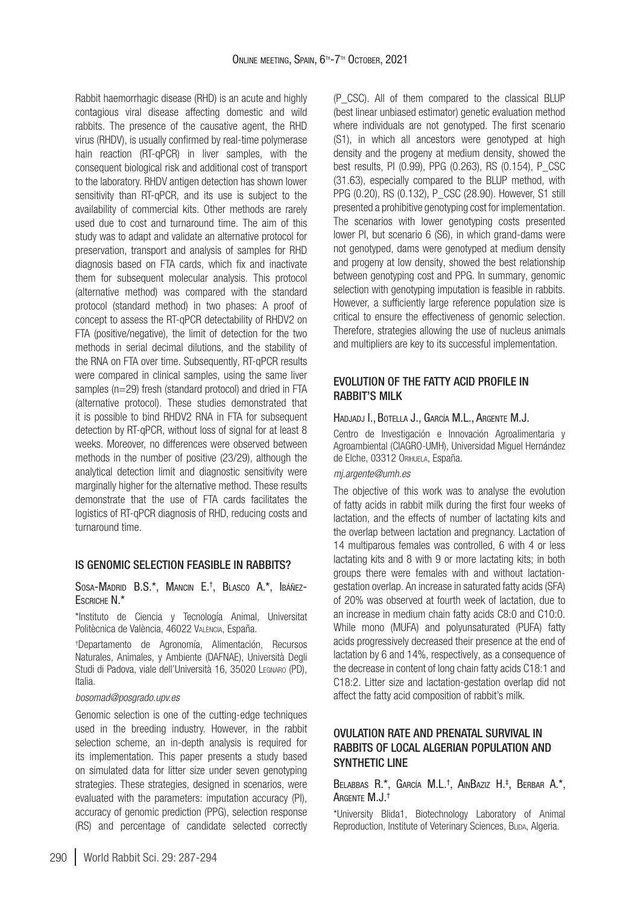Rabbit haemorrhagic disease (RHD) is an acute and highly contagious viral disease affecting domestic and wild rabbits. The presence of the causative agent, the RHD virus (RHDV), is usually confirmed by real-time polymerase hain reaction (RT-qPCR) in liver samples, with the consequent biological risk and additional cost of transport to the laboratory. RHDV antigen detection has shown lower sensitivity than RT-qPCR, and its use is subject to the availability of commercial kits. Other methods are rarely used due to cost and turnaround time. The aim of this study was to adapt and validate an alternative protocol for preservation, transport and analysis of samples for RHD diagnosis based on FTA cards, which fix and inactivate them for subsequent molecular analysis. This protocol (alternative method) was compared with the standard protocol (standard method) in two phases: A proof of concept to assess the RT-qPCR detectability of RHDV2 on FTA (positive/negative), the limit of detection for the two methods in serial decimal dilutions, and the stability of the RNA on FTA over time. Subsequently, RT-qPCR results were compared in clinical samples, using the same liver samples (n=29) fresh (standard protocol) and dried in FTA (alternative protocol). These studies demonstrated that it is possible to bind RHDV2 RNA in FTA for subsequent detection by RT-qPCR, without loss of signal for at least 8 weeks. Moreover, no differences were observed between methods in the number of positive (23/29), although the analytical detection limit and diagnostic sensitivity were marginally higher for the alternative method. These results demonstrate that the use of FTA cards facilitates the logistics of RT-qPCR diagnosis of RHD, reducing costs and turnaround time.

#### IS GENOMIC SELECTION FEASIBLE IN RABBITS?

Sosa-Madrid B.S.\*, Mancin E. † , Blasco A.\*, Ibáñez-Escriche N.\*

\*Instituto de Ciencia y Tecnología Animal, Universitat Politècnica de València, 46022 València, España.

† Departamento de Agronomía, Alimentación, Recursos Naturales, Animales, y Ambiente (DAFNAE), Università Degli Studi di Padova, viale dell'Università 16, 35020 Legnaro (PD), Italia.

#### *[bosomad@posgrado.upv.es](mailto:bosomad@posgrado.upv.es)*

Genomic selection is one of the cutting-edge techniques used in the breeding industry. However, in the rabbit selection scheme, an in-depth analysis is required for its implementation. This paper presents a study based on simulated data for litter size under seven genotyping strategies. These strategies, designed in scenarios, were evaluated with the parameters: imputation accuracy (PI), accuracy of genomic prediction (PPG), selection response (RS) and percentage of candidate selected correctly

(P\_CSC). All of them compared to the classical BLUP (best linear unbiased estimator) genetic evaluation method where individuals are not genotyped. The first scenario (S1), in which all ancestors were genotyped at high density and the progeny at medium density, showed the best results, PI (0.99), PPG (0.263), RS (0.154), P\_CSC (31.63), especially compared to the BLUP method, with PPG (0.20), RS (0.132), P\_CSC (28.90). However, S1 still presented a prohibitive genotyping cost for implementation. The scenarios with lower genotyping costs presented lower PI, but scenario 6 (S6), in which grand-dams were not genotyped, dams were genotyped at medium density and progeny at low density, showed the best relationship between genotyping cost and PPG. In summary, genomic selection with genotyping imputation is feasible in rabbits. However, a sufficiently large reference population size is critical to ensure the effectiveness of genomic selection. Therefore, strategies allowing the use of nucleus animals and multipliers are key to its successful implementation.

## EVOLUTION OF THE FATTY ACID PROFILE IN RABBIT'S MILK

### Hadjadj I., Botella J., García M.L., Argente M.J.

Centro de Investigación e Innovación Agroalimentaria y Agroambiental (CIAGRO-UMH), Universidad Miguel Hernández de Elche, 03312 Orihuela, España.

#### *[mj.argente@umh.es](mailto:mj.argente@umh.es)*

The objective of this work was to analyse the evolution of fatty acids in rabbit milk during the first four weeks of lactation, and the effects of number of lactating kits and the overlap between lactation and pregnancy. Lactation of 14 multiparous females was controlled, 6 with 4 or less lactating kits and 8 with 9 or more lactating kits; in both groups there were females with and without lactationgestation overlap. An increase in saturated fatty acids (SFA) of 20% was observed at fourth week of lactation, due to an increase in medium chain fatty acids C8:0 and C10:0. While mono (MUFA) and polyunsaturated (PUFA) fatty acids progressively decreased their presence at the end of lactation by 6 and 14%, respectively, as a consequence of the decrease in content of long chain fatty acids C18:1 and C18:2. Litter size and lactation-gestation overlap did not affect the fatty acid composition of rabbit's milk.

## OVULATION RATE AND PRENATAL SURVIVAL IN RABBITS OF LOCAL ALGERIAN POPULATION AND SYNTHETIC LINE

#### Belabbas R.\*, García M.L. † , AinBaziz H. ‡ , Berbar A.\*, Argente M.J.†

\*University Blida1, Biotechnology Laboratory of Animal Reproduction, Institute of Veterinary Sciences, BLIDA, Algeria.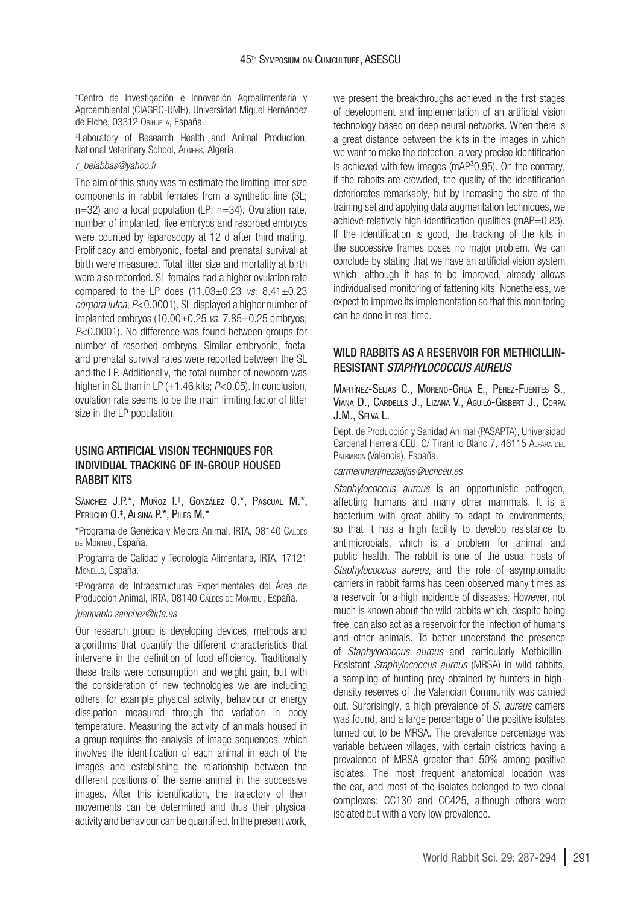† Centro de Investigación e Innovación Agroalimentaria y Agroambiental (CIAGRO-UMH), Universidad Miguel Hernández de Elche, 03312 Orihuela, España.

‡ Laboratory of Research Health and Animal Production, National Veterinary School, ALGIERS, Algeria.

### *[r\\_belabbas@yahoo.fr](mailto:r_belabbas@yahoo.fr)*

The aim of this study was to estimate the limiting litter size components in rabbit females from a synthetic line (SL; n=32) and a local population (LP; n=34). Ovulation rate, number of implanted, live embryos and resorbed embryos were counted by laparoscopy at 12 d after third mating. Prolificacy and embryonic, foetal and prenatal survival at birth were measured. Total litter size and mortality at birth were also recorded. SL females had a higher ovulation rate compared to the LP does (11.03±0.23 *vs*. 8.41±0.23 *corpora lutea*; *P*<0.0001). SL displayed a higher number of implanted embryos (10.00±0.25 *vs*. 7.85±0.25 embryos; *P*<0.0001). No difference was found between groups for number of resorbed embryos. Similar embryonic, foetal and prenatal survival rates were reported between the SL and the LP. Additionally, the total number of newborn was higher in SL than in LP (+1.46 kits:  $P<0.05$ ). In conclusion, ovulation rate seems to be the main limiting factor of litter size in the LP population.

## USING ARTIFICIAL VISION TECHNIQUES FOR INDIVIDUAL TRACKING OF IN-GROUP HOUSED RABBIT KITS

Sánchez J.P.\*, Muñoz I. † , González O.\*, Pascual M.\*, Perucho O. ‡ , Alsina P.\*, Piles M.\*

\*Programa de Genética y Mejora Animal, IRTA, 08140 Caldes DE MONTBUI, España.

† Programa de Calidad y Tecnología Alimentaria, IRTA, 17121 MONELLS, España.

‡ Programa de Infraestructuras Experimentales del Área de Producción Animal, IRTA, 08140 CALDES DE MONTBUI, España.

#### *[juanpablo.sanchez@irta.es](mailto:juanpablo.sanchez@irta.es)*

Our research group is developing devices, methods and algorithms that quantify the different characteristics that intervene in the definition of food efficiency. Traditionally these traits were consumption and weight gain, but with the consideration of new technologies we are including others, for example physical activity, behaviour or energy dissipation measured through the variation in body temperature. Measuring the activity of animals housed in a group requires the analysis of image sequences, which involves the identification of each animal in each of the images and establishing the relationship between the different positions of the same animal in the successive images. After this identification, the trajectory of their movements can be determined and thus their physical activity and behaviour can be quantified. In the present work,

we present the breakthroughs achieved in the first stages of development and implementation of an artificial vision technology based on deep neural networks. When there is a great distance between the kits in the images in which we want to make the detection, a very precise identification is achieved with few images ( $mAP<sup>3</sup>0.95$ ). On the contrary, if the rabbits are crowded, the quality of the identification deteriorates remarkably, but by increasing the size of the training set and applying data augmentation techniques, we achieve relatively high identification qualities (mAP=0.83). If the identification is good, the tracking of the kits in the successive frames poses no major problem. We can conclude by stating that we have an artificial vision system which, although it has to be improved, already allows individualised monitoring of fattening kits. Nonetheless, we expect to improve its implementation so that this monitoring can be done in real time.

## WILD RABBITS AS A RESERVOIR FOR METHICILLIN-RESISTANT *STAPHYLOCOCCUS AUREUS*

Martínez-Seijas C., Moreno-Grua E., Perez-Fuentes S., Viana D., Cardells J., Lizana V., Aguiló-Gisbert J., Corpa J.M., Selva L.

Dept. de Producción y Sanidad Animal (PASAPTA), Universidad Cardenal Herrera CEU, C/ Tirant lo Blanc 7, 46115 ALFARA DEL Patriarca (Valencia), España.

#### *[carmenmartinezseijas@uchceu.es](mailto:Carmenmartinezseijas@uchceu.es)*

*Staphylococcus aureus* is an opportunistic pathogen, affecting humans and many other mammals. It is a bacterium with great ability to adapt to environments, so that it has a high facility to develop resistance to antimicrobials, which is a problem for animal and public health. The rabbit is one of the usual hosts of *Staphylococcus aureus*, and the role of asymptomatic carriers in rabbit farms has been observed many times as a reservoir for a high incidence of diseases. However, not much is known about the wild rabbits which, despite being free, can also act as a reservoir for the infection of humans and other animals. To better understand the presence of *Staphylococcus aureus* and particularly Methicillin-Resistant *Staphylococcus aureus* (MRSA) in wild rabbits, a sampling of hunting prey obtained by hunters in highdensity reserves of the Valencian Community was carried out. Surprisingly, a high prevalence of *S. aureus* carriers was found, and a large percentage of the positive isolates turned out to be MRSA. The prevalence percentage was variable between villages, with certain districts having a prevalence of MRSA greater than 50% among positive isolates. The most frequent anatomical location was the ear, and most of the isolates belonged to two clonal complexes: CC130 and CC425, although others were isolated but with a very low prevalence.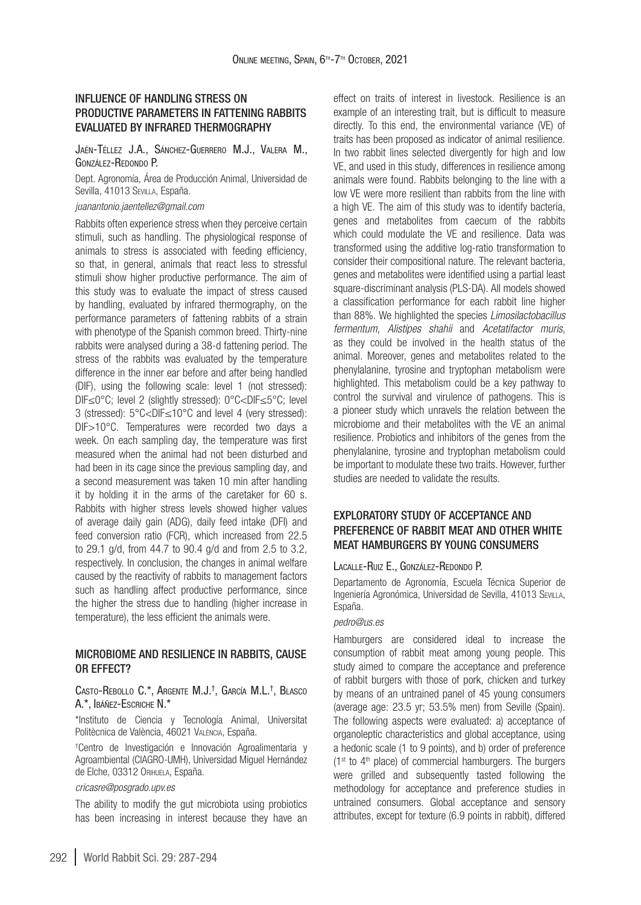## INFLUENCE OF HANDLING STRESS ON PRODUCTIVE PARAMETERS IN FATTENING RABBITS EVALUATED BY INFRARED THERMOGRAPHY

Jaén-Téllez J.A., Sánchez-Guerrero M.J., Valera M., González-Redondo P.

Dept. Agronomía, Área de Producción Animal, Universidad de Sevilla, 41013 Sevilla, España.

*[juanantonio.jaentellez@gmail.com](mailto:juanantonio.jaentellez@gmail.com)*

Rabbits often experience stress when they perceive certain stimuli, such as handling. The physiological response of animals to stress is associated with feeding efficiency, so that, in general, animals that react less to stressful stimuli show higher productive performance. The aim of this study was to evaluate the impact of stress caused by handling, evaluated by infrared thermography, on the performance parameters of fattening rabbits of a strain with phenotype of the Spanish common breed. Thirty-nine rabbits were analysed during a 38-d fattening period. The stress of the rabbits was evaluated by the temperature difference in the inner ear before and after being handled (DIF), using the following scale: level 1 (not stressed): DIF≤0°C; level 2 (slightly stressed): 0°C<DIF≤5°C; level 3 (stressed): 5°C<DIF≤10°C and level 4 (very stressed): DIF>10°C. Temperatures were recorded two days a week. On each sampling day, the temperature was first measured when the animal had not been disturbed and had been in its cage since the previous sampling day, and a second measurement was taken 10 min after handling it by holding it in the arms of the caretaker for 60 s. Rabbits with higher stress levels showed higher values of average daily gain (ADG), daily feed intake (DFI) and feed conversion ratio (FCR), which increased from 22.5 to 29.1 g/d, from 44.7 to 90.4 g/d and from 2.5 to 3.2, respectively. In conclusion, the changes in animal welfare caused by the reactivity of rabbits to management factors such as handling affect productive performance, since the higher the stress due to handling (higher increase in temperature), the less efficient the animals were.

### MICROBIOME AND RESILIENCE IN RABBITS, CAUSE OR EFFECT?

Casto-Rebollo C.\*, Argente M.J.† , García M.L. † , Blasco A.\*, Ibáñez-Escriche N.\*

\*Instituto de Ciencia y Tecnología Animal, Universitat Politècnica de València, 46021 València, España.

† Centro de Investigación e Innovación Agroalimentaria y Agroambiental (CIAGRO-UMH), Universidad Miguel Hernández de Elche, 03312 Orihuela, España.

#### *[cricasre@posgrado.upv.es](mailto:correo@correo.es)*

The ability to modify the gut microbiota using probiotics has been increasing in interest because they have an effect on traits of interest in livestock. Resilience is an example of an interesting trait, but is difficult to measure directly. To this end, the environmental variance (VE) of traits has been proposed as indicator of animal resilience. In two rabbit lines selected divergently for high and low VE, and used in this study, differences in resilience among animals were found. Rabbits belonging to the line with a low VE were more resilient than rabbits from the line with a high VE. The aim of this study was to identify bacteria, genes and metabolites from caecum of the rabbits which could modulate the VE and resilience. Data was transformed using the additive log-ratio transformation to consider their compositional nature. The relevant bacteria, genes and metabolites were identified using a partial least square-discriminant analysis (PLS-DA). All models showed a classification performance for each rabbit line higher than 88%. We highlighted the species *Limosilactobacillus fermentum*, *Alistipes shahii* and *Acetatifactor muris*, as they could be involved in the health status of the animal. Moreover, genes and metabolites related to the phenylalanine, tyrosine and tryptophan metabolism were highlighted. This metabolism could be a key pathway to control the survival and virulence of pathogens. This is a pioneer study which unravels the relation between the microbiome and their metabolites with the VE an animal resilience. Probiotics and inhibitors of the genes from the phenylalanine, tyrosine and tryptophan metabolism could be important to modulate these two traits. However, further studies are needed to validate the results.

## EXPLORATORY STUDY OF ACCEPTANCE AND PREFERENCE OF RABBIT MEAT AND OTHER WHITE MEAT HAMBURGERS BY YOUNG CONSUMERS

#### LACALLE-RUIZ E., GONZÁLEZ-REDONDO P.

Departamento de Agronomía, Escuela Técnica Superior de Ingeniería Agronómica, Universidad de Sevilla, 41013 Sevilla, España.

### *[pedro@us.es](mailto:pedro@us.es)*

Hamburgers are considered ideal to increase the consumption of rabbit meat among young people. This study aimed to compare the acceptance and preference of rabbit burgers with those of pork, chicken and turkey by means of an untrained panel of 45 young consumers (average age: 23.5 yr; 53.5% men) from Seville (Spain). The following aspects were evaluated: a) acceptance of organoleptic characteristics and global acceptance, using a hedonic scale (1 to 9 points), and b) order of preference  $(1<sup>st</sup>$  to  $4<sup>th</sup>$  place) of commercial hamburgers. The burgers were grilled and subsequently tasted following the methodology for acceptance and preference studies in untrained consumers. Global acceptance and sensory attributes, except for texture (6.9 points in rabbit), differed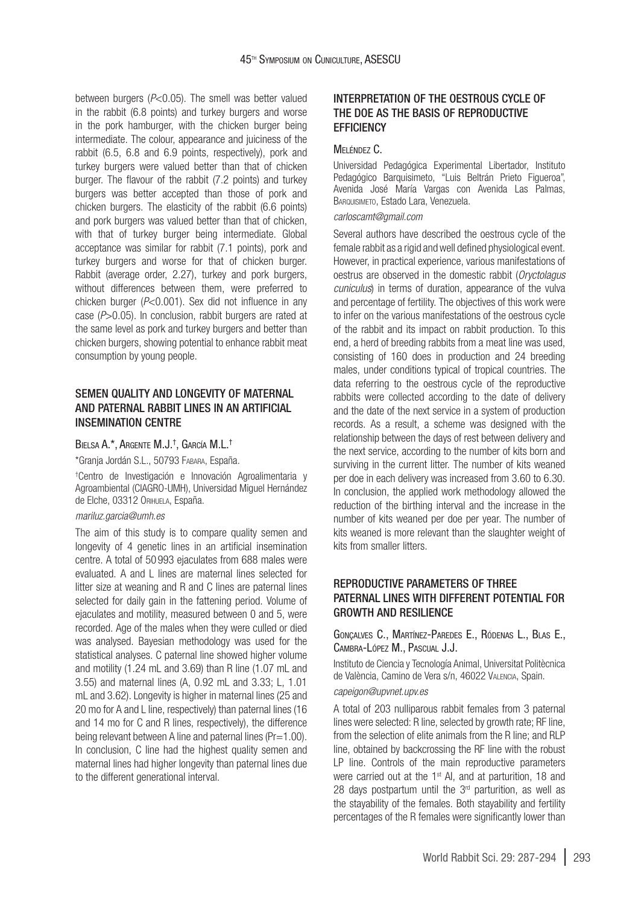between burgers (*P*<0.05). The smell was better valued in the rabbit (6.8 points) and turkey burgers and worse in the pork hamburger, with the chicken burger being intermediate. The colour, appearance and juiciness of the rabbit (6.5, 6.8 and 6.9 points, respectively), pork and turkey burgers were valued better than that of chicken burger. The flavour of the rabbit (7.2 points) and turkey burgers was better accepted than those of pork and chicken burgers. The elasticity of the rabbit (6.6 points) and pork burgers was valued better than that of chicken, with that of turkey burger being intermediate. Global acceptance was similar for rabbit (7.1 points), pork and turkey burgers and worse for that of chicken burger. Rabbit (average order, 2.27), turkey and pork burgers, without differences between them, were preferred to chicken burger (*P*<0.001). Sex did not influence in any case (*P*>0.05). In conclusion, rabbit burgers are rated at the same level as pork and turkey burgers and better than chicken burgers, showing potential to enhance rabbit meat consumption by young people.

## SEMEN QUALITY AND LONGEVITY OF MATERNAL AND PATERNAL RABBIT LINES IN AN ARTIFICIAL INSEMINATION CENTRE

#### Bielsa A.\*, Argente M.J.† , García M.L. †

\*Granja Jordán S.L., 50793 Fabara, España.

† Centro de Investigación e Innovación Agroalimentaria y Agroambiental (CIAGRO-UMH), Universidad Miguel Hernández de Elche, 03312 Orihuela, España.

#### *[mariluz.garcia@umh.es](mailto:mariluz.garcia@umh.es)*

The aim of this study is to compare quality semen and longevity of 4 genetic lines in an artificial insemination centre. A total of 50 993 ejaculates from 688 males were evaluated. A and L lines are maternal lines selected for litter size at weaning and R and C lines are paternal lines selected for daily gain in the fattening period. Volume of ejaculates and motility, measured between 0 and 5, were recorded. Age of the males when they were culled or died was analysed. Bayesian methodology was used for the statistical analyses. C paternal line showed higher volume and motility (1.24 mL and 3.69) than R line (1.07 mL and 3.55) and maternal lines (A, 0.92 mL and 3.33; L, 1.01 mL and 3.62). Longevity is higher in maternal lines (25 and 20 mo for A and L line, respectively) than paternal lines (16 and 14 mo for C and R lines, respectively), the difference being relevant between A line and paternal lines (Pr=1.00). In conclusion, C line had the highest quality semen and maternal lines had higher longevity than paternal lines due to the different generational interval.

### INTERPRETATION OF THE OFSTROUS CYCLE OF THE DOE AS THE BASIS OF REPRODUCTIVE **EFFICIENCY**

### Meléndez C.

Universidad Pedagógica Experimental Libertador, Instituto Pedagógico Barquisimeto, "Luis Beltrán Prieto Figueroa", Avenida José María Vargas con Avenida Las Palmas, BARQUISIMETO, Estado Lara, Venezuela.

#### *[carloscamt@gmail.com](mailto:carloscamt@gmail.com)*

Several authors have described the oestrous cycle of the female rabbit as a rigid and well defined physiological event. However, in practical experience, various manifestations of oestrus are observed in the domestic rabbit (*Oryctolagus cuniculus*) in terms of duration, appearance of the vulva and percentage of fertility. The objectives of this work were to infer on the various manifestations of the oestrous cycle of the rabbit and its impact on rabbit production. To this end, a herd of breeding rabbits from a meat line was used, consisting of 160 does in production and 24 breeding males, under conditions typical of tropical countries. The data referring to the oestrous cycle of the reproductive rabbits were collected according to the date of delivery and the date of the next service in a system of production records. As a result, a scheme was designed with the relationship between the days of rest between delivery and the next service, according to the number of kits born and surviving in the current litter. The number of kits weaned per doe in each delivery was increased from 3.60 to 6.30. In conclusion, the applied work methodology allowed the reduction of the birthing interval and the increase in the number of kits weaned per doe per year. The number of kits weaned is more relevant than the slaughter weight of kits from smaller litters.

## REPRODUCTIVE PARAMETERS OF THREE PATERNAL LINES WITH DIFFERENT POTENTIAL FOR GROWTH AND RESILIENCE

### Gonçalves C., Martínez-Paredes E., Ródenas L., Blas E., Cambra-López M., Pascual J.J.

Instituto de Ciencia y Tecnología Animal, Universitat Politècnica de València, Camino de Vera s/n, 46022 Valencia, Spain.

### *[capeigon@upvnet.upv.es](mailto:capeigon@upvnet.upv.es)*

A total of 203 nulliparous rabbit females from 3 paternal lines were selected: R line, selected by growth rate; RF line, from the selection of elite animals from the R line; and RLP line, obtained by backcrossing the RF line with the robust LP line. Controls of the main reproductive parameters were carried out at the 1<sup>st</sup> AI, and at parturition, 18 and 28 days postpartum until the  $3<sup>rd</sup>$  parturition, as well as the stayability of the females. Both stayability and fertility percentages of the R females were significantly lower than